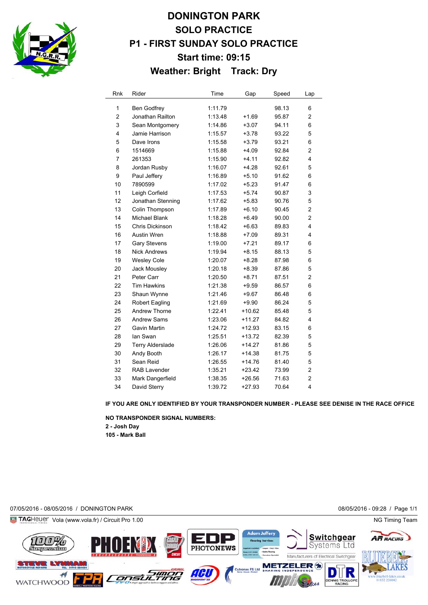

## **DONINGTON PARK SOLO PRACTICE P1 - FIRST SUNDAY SOLO PRACTICE Start time: 09:15 Weather: Bright Track: Dry**

| Rnk            | Rider               | Time    | Gap      | Speed | Lap            |
|----------------|---------------------|---------|----------|-------|----------------|
| 1              | <b>Ben Godfrey</b>  | 1:11.79 |          | 98.13 | 6              |
| 2              | Jonathan Railton    | 1:13.48 | $+1.69$  | 95.87 | $\overline{c}$ |
| 3              | Sean Montgomery     | 1:14.86 | $+3.07$  | 94.11 | 6              |
| 4              | Jamie Harrison      | 1:15.57 | $+3.78$  | 93.22 | 5              |
| 5              | Dave Irons          | 1:15.58 | $+3.79$  | 93.21 | 6              |
| 6              | 1514669             | 1:15.88 | $+4.09$  | 92.84 | $\overline{2}$ |
| $\overline{7}$ | 261353              | 1:15.90 | $+4.11$  | 92.82 | 4              |
| 8              | Jordan Rusby        | 1:16.07 | $+4.28$  | 92.61 | 5              |
| 9              | Paul Jeffery        | 1:16.89 | $+5.10$  | 91.62 | 6              |
| 10             | 7890599             | 1:17.02 | $+5.23$  | 91.47 | 6              |
| 11             | Leigh Corfield      | 1:17.53 | $+5.74$  | 90.87 | 3              |
| 12             | Jonathan Stenning   | 1:17.62 | $+5.83$  | 90.76 | 5              |
| 13             | Colin Thompson      | 1:17.89 | $+6.10$  | 90.45 | $\overline{2}$ |
| 14             | Michael Blank       | 1:18.28 | $+6.49$  | 90.00 | $\overline{2}$ |
| 15             | Chris Dickinson     | 1:18.42 | $+6.63$  | 89.83 | 4              |
| 16             | <b>Austin Wren</b>  | 1:18.88 | $+7.09$  | 89.31 | 4              |
| 17             | <b>Gary Stevens</b> | 1:19.00 | $+7.21$  | 89.17 | 6              |
| 18             | <b>Nick Andrews</b> | 1:19.94 | $+8.15$  | 88.13 | 5              |
| 19             | <b>Wesley Cole</b>  | 1:20.07 | $+8.28$  | 87.98 | 6              |
| 20             | Jack Mousley        | 1:20.18 | $+8.39$  | 87.86 | 5              |
| 21             | Peter Carr          | 1:20.50 | $+8.71$  | 87.51 | $\overline{2}$ |
| 22             | <b>Tim Hawkins</b>  | 1:21.38 | $+9.59$  | 86.57 | 6              |
| 23             | Shaun Wynne         | 1:21.46 | $+9.67$  | 86.48 | 6              |
| 24             | Robert Eagling      | 1:21.69 | $+9.90$  | 86.24 | 5              |
| 25             | Andrew Thorne       | 1:22.41 | $+10.62$ | 85.48 | 5              |
| 26             | Andrew Sams         | 1:23.06 | $+11.27$ | 84.82 | 4              |
| 27             | Gavin Martin        | 1:24.72 | $+12.93$ | 83.15 | 6              |
| 28             | lan Swan            | 1:25.51 | +13.72   | 82.39 | 5              |
| 29             | Terry Alderslade    | 1:26.06 | $+14.27$ | 81.86 | 5              |
| 30             | Andy Booth          | 1:26.17 | $+14.38$ | 81.75 | 5              |
| 31             | Sean Reid           | 1:26.55 | $+14.76$ | 81.40 | 5              |
| 32             | <b>RAB Lavender</b> | 1:35.21 | $+23.42$ | 73.99 | 2              |
| 33             | Mark Dangerfield    | 1:38.35 | $+26.56$ | 71.63 | 2              |
| 34             | David Sterry        | 1:39.72 | $+27.93$ | 70.64 | 4              |

## **IF YOU ARE ONLY IDENTIFIED BY YOUR TRANSPONDER NUMBER - PLEASE SEE DENISE IN THE RACE OFFICE**

**NO TRANSPONDER SIGNAL NUMBERS: 2 - Josh Day**

**105 - Mark Ball**

07/05/2016 - 08/05/2016 / DONINGTON PARK 08/05/2016 - 09:28 / Page 1/1

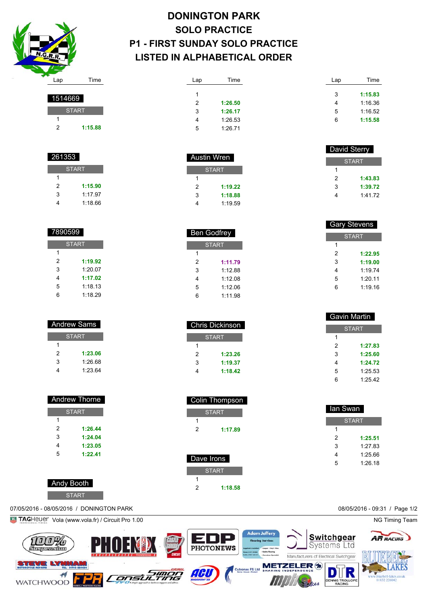

## **DONINGTON PARK SOLO PRACTICE P1 - FIRST SUNDAY SOLO PRACTICE LISTED IN ALPHABETICAL ORDER**

 Ben Godfrey **START** 

> **1:11.79** 1:12.88 1:12.08 1:12.06 1:11.98

 Chris Dickinson **START** 

> **1:23.26 1:19.37 1:18.42**

 Colin Thompson START

**1:17.89**

| Lap | Time    | Lap | Time    |
|-----|---------|-----|---------|
| 1   |         | 3   | 1:15.83 |
| 2   | 1:26.50 | 4   | 1:16.36 |
| 3   | 1:26.17 | 5   | 1:16.52 |
| 4   | 1:26.53 | 6   | 1:15.58 |
| 5   | 1:26.71 |     |         |
|     |         |     |         |

|             |              |   | David Sterry |
|-------------|--------------|---|--------------|
| Austin Wren |              |   | <b>START</b> |
|             | <b>START</b> |   |              |
|             |              | 2 | 1:43.83      |
| 2           | 1:19.22      | 3 | 1:39.72      |
| 3           | 1:18.88      | 4 | 1:41.72      |
|             | 1:19.59      |   |              |

| <b>Gary Stevens</b> |         |  |
|---------------------|---------|--|
| <b>START</b>        |         |  |
| 1                   |         |  |
| 2                   | 1:22.95 |  |
| 3                   | 1:19.00 |  |
| 4                   | 1:19.74 |  |
| 5                   | 1:20.11 |  |
| 6                   | 1:19.16 |  |
|                     |         |  |

| Gavin Martin |              |  |
|--------------|--------------|--|
|              | <b>START</b> |  |
| 1            |              |  |
| 2            | 1:27.83      |  |
| 3            | 1:25.60      |  |
| 4            | 1:24.72      |  |
| 5            | 1:25.53      |  |
| 6            | 1:25.42      |  |

| lan Swan     |         |  |
|--------------|---------|--|
| <b>START</b> |         |  |
| 1            |         |  |
| 2            | 1:25.51 |  |
| 3            | 1:27.83 |  |
| 4            | 1:25.66 |  |
| 5            | 1:26.18 |  |
|              |         |  |



| 1514669 |              |  |
|---------|--------------|--|
|         | <b>START</b> |  |
|         |              |  |
| 2       | 1:15.88      |  |
|         |              |  |

| 261353       |         |  |
|--------------|---------|--|
| <b>START</b> |         |  |
|              |         |  |
| 2            | 1:15.90 |  |
| 3            | 1.1797  |  |
|              | 1:18.66 |  |

| 7890599      |         |  |  |
|--------------|---------|--|--|
| <b>START</b> |         |  |  |
| 1            |         |  |  |
| 2            | 1:19.92 |  |  |
| 3            | 1:20.07 |  |  |
| 4            | 1:17.02 |  |  |
| 5            | 1:18.13 |  |  |
| 6            | 1:18.29 |  |  |

| <b>Andrew Sams</b> |         |  |
|--------------------|---------|--|
| <b>START</b>       |         |  |
| 1                  |         |  |
| 2                  | 1:23.06 |  |
| 3                  | 1:26.68 |  |
|                    | 1:2364  |  |
|                    |         |  |

| <b>Andrew Thorne</b> |         |  |
|----------------------|---------|--|
| <b>START</b>         |         |  |
| 1                    |         |  |
| 2                    | 1:26.44 |  |
| 3                    | 1:24.04 |  |
| 4                    | 1:23.05 |  |
| 5                    | 1:22.41 |  |
|                      |         |  |

 Andy Booth **START**